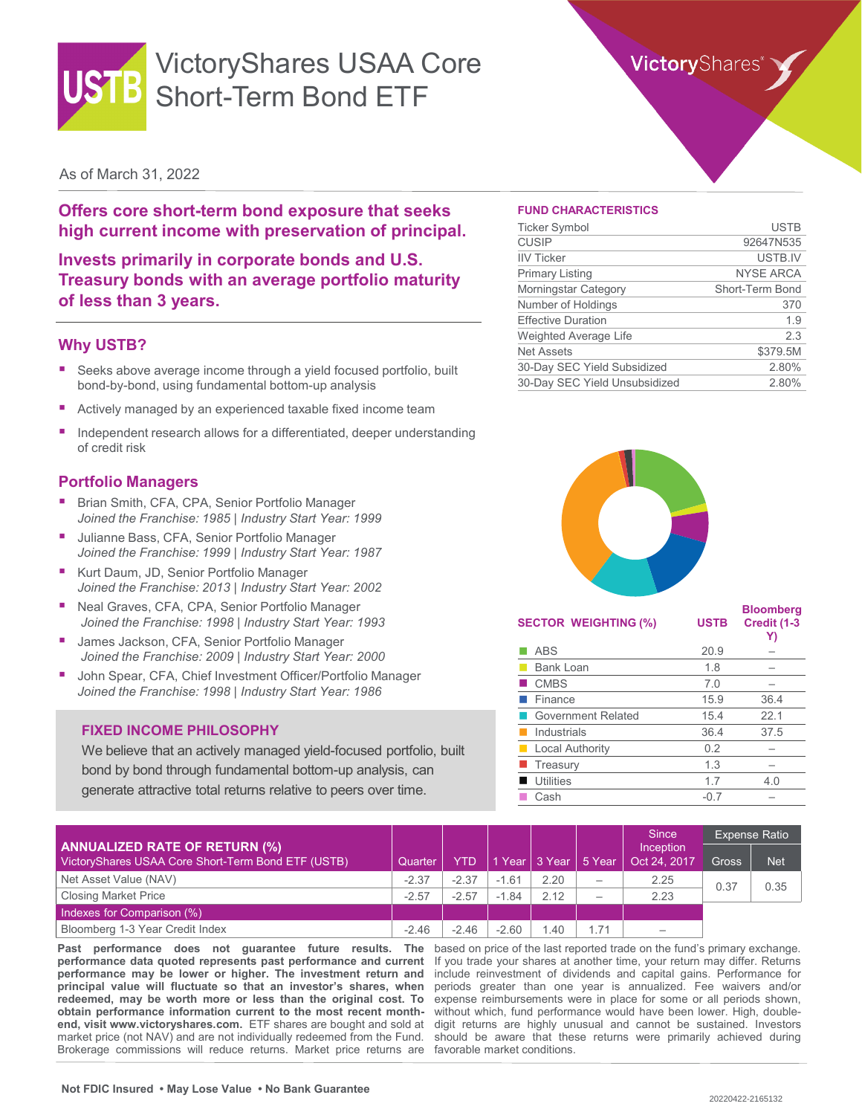

# VictoryShares USAA Core Short-Term Bond ETF

## **Victory**Shares

### As of March 31, 2022

**Offers core short-term bond exposure that seeks high current income with preservation of principal.**

**Invests primarily in corporate bonds and U.S. Treasury bonds with an average portfolio maturity of less than 3 years.**

#### **Why USTB?**

- Seeks above average income through a yield focused portfolio, built bond-by-bond, using fundamental bottom-up analysis
- Actively managed by an experienced taxable fixed income team
- Independent research allows for a differentiated, deeper understanding of credit risk

### **Portfolio Managers**

- Brian Smith, CFA, CPA, Senior Portfolio Manager *Joined the Franchise: 1985 | Industry Start Year: 1999*
- Julianne Bass, CFA, Senior Portfolio Manager *Joined the Franchise: 1999 | Industry Start Year: 1987*
- Kurt Daum, JD, Senior Portfolio Manager *Joined the Franchise: 2013 | Industry Start Year: 2002*
- Neal Graves, CFA, CPA, Senior Portfolio Manager *Joined the Franchise: 1998 | Industry Start Year: 1993*
- James Jackson, CFA, Senior Portfolio Manager *Joined the Franchise: 2009 | Industry Start Year: 2000*
- John Spear, CFA, Chief Investment Officer/Portfolio Manager *Joined the Franchise: 1998 | Industry Start Year: 1986*

#### **FIXED INCOME PHILOSOPHY**

We believe that an actively managed yield-focused portfolio, built bond by bond through fundamental bottom-up analysis, can generate attractive total returns relative to peers over time.

#### **FUND CHARACTERISTICS**

| <b>Ticker Symbol</b>          | <b>USTB</b>      |
|-------------------------------|------------------|
| <b>CUSIP</b>                  | 92647N535        |
| <b>IIV Ticker</b>             | USTB.IV          |
| <b>Primary Listing</b>        | <b>NYSE ARCA</b> |
| Morningstar Category          | Short-Term Bond  |
| Number of Holdings            | 370              |
| <b>Effective Duration</b>     | 1.9              |
| <b>Weighted Average Life</b>  | 2.3              |
| <b>Net Assets</b>             | \$379.5M         |
| 30-Day SEC Yield Subsidized   | 2.80%            |
| 30-Day SEC Yield Unsubsidized | 2.80%            |



| <b>USTB</b> | <b>Bloomberg</b><br>Credit (1-3<br>Y) |
|-------------|---------------------------------------|
| 20.9        |                                       |
| 1.8         |                                       |
| 7.0         |                                       |
| 15.9        | 36.4                                  |
| 15.4        | 22.1                                  |
| 36.4        | 37.5                                  |
| 0.2         |                                       |
| 1.3         |                                       |
| 1.7         | 4.0                                   |
| $-0.7$      |                                       |
|             |                                       |

|                                                                                            |         |         |             |                      |                          | <b>Since</b>              | Expense Ratio |            |
|--------------------------------------------------------------------------------------------|---------|---------|-------------|----------------------|--------------------------|---------------------------|---------------|------------|
| <b>ANNUALIZED RATE OF RETURN (%)</b><br>VictoryShares USAA Core Short-Term Bond ETF (USTB) | Quarter | YTD     |             | 1 Year 3 Year 5 Year |                          | Inception<br>Oct 24, 2017 | <b>Gross</b>  | <b>Net</b> |
| Net Asset Value (NAV)                                                                      | $-2.37$ | $-2.37$ | $-1.61$     | 2.20                 | $\overline{\phantom{m}}$ | 2.25                      | 0.37          | 0.35       |
| <b>Closing Market Price</b>                                                                | $-2.57$ | $-2.57$ | .84<br>$-1$ | 2.12                 | $\overline{\phantom{m}}$ | 2.23                      |               |            |
| Indexes for Comparison (%)                                                                 |         |         |             |                      |                          |                           |               |            |
| Bloomberg 1-3 Year Credit Index                                                            | $-2.46$ | $-2.46$ | $-2.60$     | .40                  | 1.71                     | $\hspace{0.05cm}$         |               |            |

**Past performance does not guarantee future results. The performance data quoted represents past performance and current performance may be lower or higher. The investment return and principal value will fluctuate so that an investor's shares, when redeemed, may be worth more or less than the original cost. To obtain performance information current to the most recent monthend, visit www.victoryshares.com.** ETF shares are bought and sold at market price (not NAV) and are not individually redeemed from the Fund. Brokerage commissions will reduce returns. Market price returns are favorable market conditions.

based on price of the last reported trade on the fund's primary exchange. If you trade your shares at another time, your return may differ. Returns include reinvestment of dividends and capital gains. Performance for periods greater than one year is annualized. Fee waivers and/or expense reimbursements were in place for some or all periods shown, without which, fund performance would have been lower. High, doubledigit returns are highly unusual and cannot be sustained. Investors should be aware that these returns were primarily achieved during